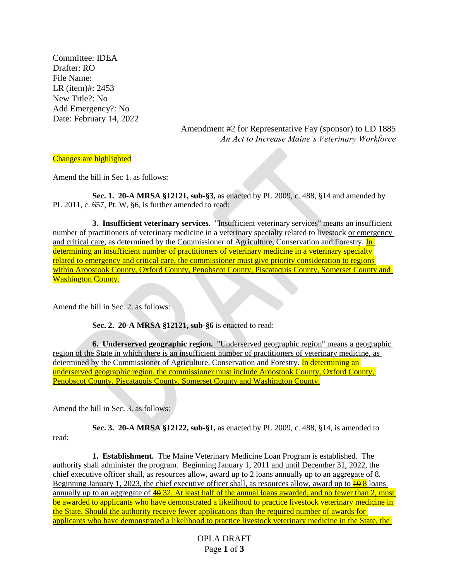Committee: IDEA Drafter: RO File Name: LR (item)#: 2453 New Title?: No Add Emergency?: No Date: February 14, 2022

> Amendment #2 for Representative Fay (sponsor) to LD 1885 *An Act to Increase Maine's Veterinary Workforce*

## Changes are highlighted

Amend the bill in Sec 1. as follows:

**Sec. 1. 20-A MRSA §12121, sub-§3,** as enacted by PL 2009, c. 488, §14 and amended by PL 2011, c. 657, Pt. W, §6, is further amended to read:

**3. Insufficient veterinary services.** "Insufficient veterinary services" means an insufficient number of practitioners of veterinary medicine in a veterinary specialty related to livestock or emergency and critical care, as determined by the Commissioner of Agriculture, Conservation and Forestry. In determining an insufficient number of practitioners of veterinary medicine in a veterinary specialty related to emergency and critical care, the commissioner must give priority consideration to regions within Aroostook County, Oxford County, Penobscot County, Piscataquis County, Somerset County and Washington County.

Amend the bill in Sec. 2. as follows:

**Sec. 2. 20-A MRSA §12121, sub-§6** is enacted to read:

**6. Underserved geographic region.** "Underserved geographic region" means a geographic region of the State in which there is an insufficient number of practitioners of veterinary medicine, as determined by the Commissioner of Agriculture, Conservation and Forestry. In determining an underserved geographic region, the commissioner must include Aroostook County, Oxford County, Penobscot County, Piscataquis County, Somerset County and Washington County.

Amend the bill in Sec. 3. as follows:

read:

**Sec. 3. 20-A MRSA §12122, sub-§1,** as enacted by PL 2009, c. 488, §14, is amended to

**1. Establishment.** The Maine Veterinary Medicine Loan Program is established. The authority shall administer the program. Beginning January 1, 2011 and until December 31, 2022, the chief executive officer shall, as resources allow, award up to 2 loans annually up to an aggregate of 8. Beginning January 1, 2023, the chief executive officer shall, as resources allow, award up to  $\frac{10}{10}$  8 loans annually up to an aggregate of  $\frac{40}{32}$ . At least half of the annual loans awarded, and no fewer than 2, must be awarded to applicants who have demonstrated a likelihood to practice livestock veterinary medicine in the State. Should the authority receive fewer applications than the required number of awards for applicants who have demonstrated a likelihood to practice livestock veterinary medicine in the State, the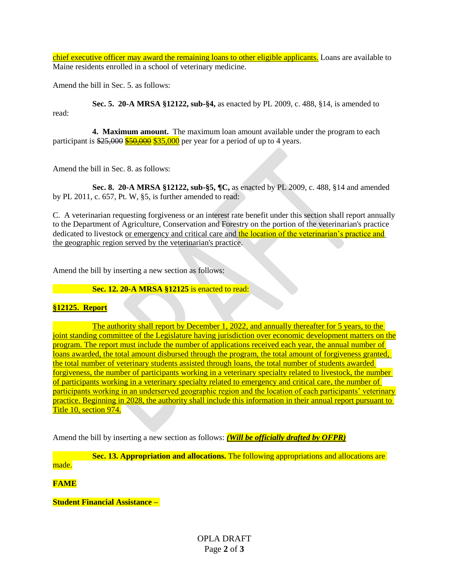chief executive officer may award the remaining loans to other eligible applicants. Loans are available to Maine residents enrolled in a school of veterinary medicine.

Amend the bill in Sec. 5. as follows:

**Sec. 5. 20-A MRSA §12122, sub-§4,** as enacted by PL 2009, c. 488, §14, is amended to read:

**4. Maximum amount.** The maximum loan amount available under the program to each participant is  $$25,000$   $$50,000$   $$35,000$  per year for a period of up to 4 years.

Amend the bill in Sec. 8. as follows:

**Sec. 8. 20-A MRSA §12122, sub-§5, ¶C,** as enacted by PL 2009, c. 488, §14 and amended by PL 2011, c. 657, Pt. W, §5, is further amended to read:

C. A veterinarian requesting forgiveness or an interest rate benefit under this section shall report annually to the Department of Agriculture, Conservation and Forestry on the portion of the veterinarian's practice dedicated to livestock or emergency and critical care and the location of the veterinarian's practice and the geographic region served by the veterinarian's practice.

Amend the bill by inserting a new section as follows:

**Sec. 12. 20-A MRSA §12125** is enacted to read:

## **§12125. Report**

The authority shall report by December 1, 2022, and annually thereafter for 5 years, to the joint standing committee of the Legislature having jurisdiction over economic development matters on the program. The report must include the number of applications received each year, the annual number of loans awarded, the total amount disbursed through the program, the total amount of forgiveness granted, the total number of veterinary students assisted through loans, the total number of students awarded forgiveness, the number of participants working in a veterinary specialty related to livestock, the number of participants working in a veterinary specialty related to emergency and critical care, the number of participants working in an underserved geographic region and the location of each participants' veterinary practice. Beginning in 2028, the authority shall include this information in their annual report pursuant to Title 10, section 974.

Amend the bill by inserting a new section as follows: *(Will be officially drafted by OFPR)*

**Sec. 13. Appropriation and allocations.** The following appropriations and allocations are made.

**FAME**

**Student Financial Assistance –**